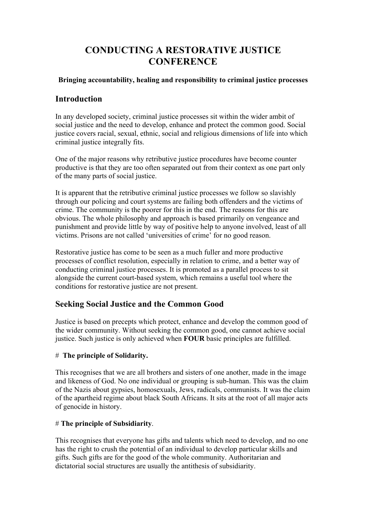# **CONDUCTING A RESTORATIVE JUSTICE CONFERENCE**

## **Bringing accountability, healing and responsibility to criminal justice processes**

## **Introduction**

In any developed society, criminal justice processes sit within the wider ambit of social justice and the need to develop, enhance and protect the common good. Social justice covers racial, sexual, ethnic, social and religious dimensions of life into which criminal justice integrally fits.

One of the major reasons why retributive justice procedures have become counter productive is that they are too often separated out from their context as one part only of the many parts of social justice.

It is apparent that the retributive criminal justice processes we follow so slavishly through our policing and court systems are failing both offenders and the victims of crime. The community is the poorer for this in the end. The reasons for this are obvious. The whole philosophy and approach is based primarily on vengeance and punishment and provide little by way of positive help to anyone involved, least of all victims. Prisons are not called 'universities of crime' for no good reason.

Restorative justice has come to be seen as a much fuller and more productive processes of conflict resolution, especially in relation to crime, and a better way of conducting criminal justice processes. It is promoted as a parallel process to sit alongside the current court-based system, which remains a useful tool where the conditions for restorative justice are not present.

# **Seeking Social Justice and the Common Good**

Justice is based on precepts which protect, enhance and develop the common good of the wider community. Without seeking the common good, one cannot achieve social justice. Such justice is only achieved when **FOUR** basic principles are fulfilled.

## # **The principle of Solidarity.**

This recognises that we are all brothers and sisters of one another, made in the image and likeness of God. No one individual or grouping is sub-human. This was the claim of the Nazis about gypsies, homosexuals, Jews, radicals, communists. It was the claim of the apartheid regime about black South Africans. It sits at the root of all major acts of genocide in history.

### # **The principle of Subsidiarity**.

This recognises that everyone has gifts and talents which need to develop, and no one has the right to crush the potential of an individual to develop particular skills and gifts. Such gifts are for the good of the whole community. Authoritarian and dictatorial social structures are usually the antithesis of subsidiarity.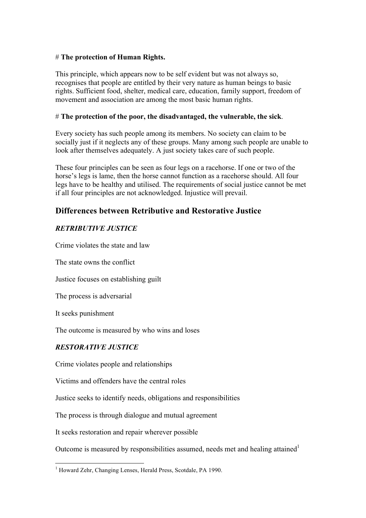#### # **The protection of Human Rights.**

This principle, which appears now to be self evident but was not always so, recognises that people are entitled by their very nature as human beings to basic rights. Sufficient food, shelter, medical care, education, family support, freedom of movement and association are among the most basic human rights.

#### # **The protection of the poor, the disadvantaged, the vulnerable, the sick**.

Every society has such people among its members. No society can claim to be socially just if it neglects any of these groups. Many among such people are unable to look after themselves adequately. A just society takes care of such people.

These four principles can be seen as four legs on a racehorse. If one or two of the horse's legs is lame, then the horse cannot function as a racehorse should. All four legs have to be healthy and utilised. The requirements of social justice cannot be met if all four principles are not acknowledged. Injustice will prevail.

# **Differences between Retributive and Restorative Justice**

## *RETRIBUTIVE JUSTICE*

Crime violates the state and law

The state owns the conflict

Justice focuses on establishing guilt

The process is adversarial

It seeks punishment

The outcome is measured by who wins and loses

### *RESTORATIVE JUSTICE*

Crime violates people and relationships

Victims and offenders have the central roles

Justice seeks to identify needs, obligations and responsibilities

The process is through dialogue and mutual agreement

It seeks restoration and repair wherever possible

Outcome is measured by responsibilities assumed, needs met and healing attained<sup>1</sup>

 $\frac{1}{1}$ <sup>1</sup> Howard Zehr, Changing Lenses, Herald Press, Scotdale, PA 1990.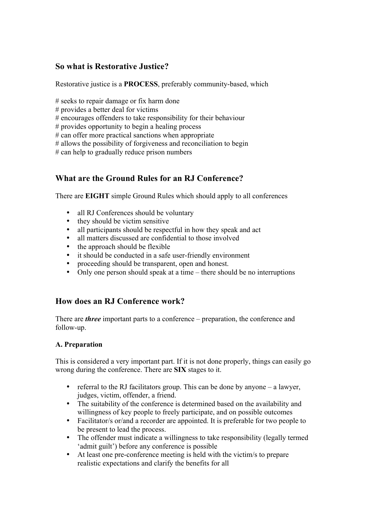# **So what is Restorative Justice?**

Restorative justice is a **PROCESS**, preferably community-based, which

# seeks to repair damage or fix harm done

# provides a better deal for victims

# encourages offenders to take responsibility for their behaviour

# provides opportunity to begin a healing process

 $#$  can offer more practical sanctions when appropriate

# allows the possibility of forgiveness and reconciliation to begin

# can help to gradually reduce prison numbers

# **What are the Ground Rules for an RJ Conference?**

There are **EIGHT** simple Ground Rules which should apply to all conferences

- all RJ Conferences should be voluntary
- they should be victim sensitive
- all participants should be respectful in how they speak and act
- all matters discussed are confidential to those involved<br>• the approach should be flexible
- the approach should be flexible<br>• it should be conducted in a safe
- it should be conducted in a safe user-friendly environment
- proceeding should be transparent, open and honest.
- Only one person should speak at a time there should be no interruptions

## **How does an RJ Conference work?**

There are *three* important parts to a conference – preparation, the conference and follow-up.

### **A. Preparation**

This is considered a very important part. If it is not done properly, things can easily go wrong during the conference. There are **SIX** stages to it.

- referral to the RJ facilitators group. This can be done by anyone a lawyer, judges, victim, offender, a friend.
- The suitability of the conference is determined based on the availability and willingness of key people to freely participate, and on possible outcomes
- Facilitator/s or/and a recorder are appointed. It is preferable for two people to be present to lead the process.
- The offender must indicate a willingness to take responsibility (legally termed 'admit guilt') before any conference is possible
- At least one pre-conference meeting is held with the victim/s to prepare realistic expectations and clarify the benefits for all